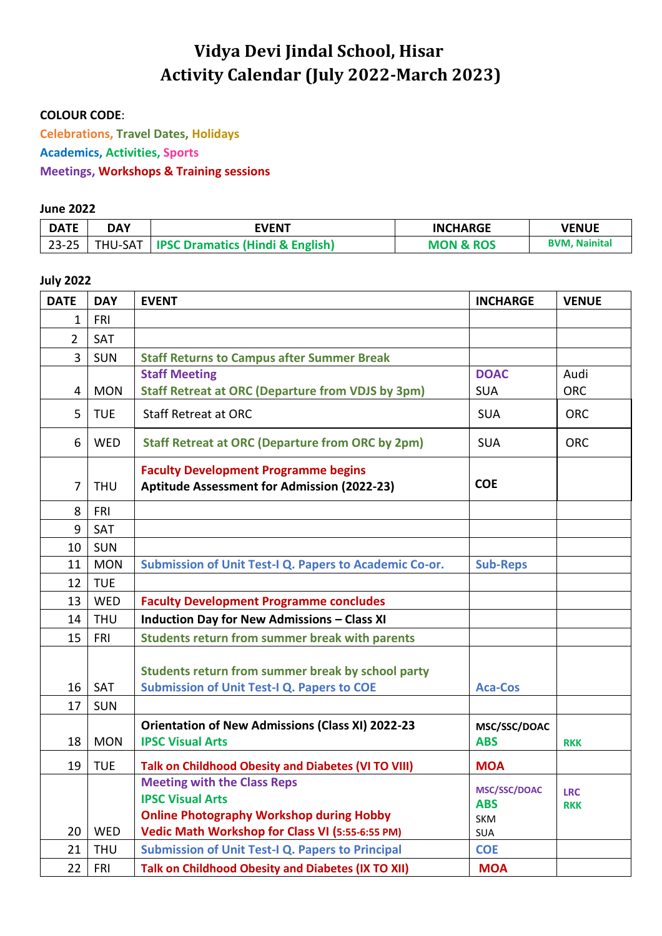# **Vidya Devi Jindal School, Hisar Activity Calendar (July 2022-March 2023)**

#### **COLOUR CODE**:

**Celebrations, Travel Dates, Holidays Academics, Activities, Sports Meetings, Workshops & Training sessions**

#### **June 2022**

| <b>DATE</b> | DAY            | <b>EVENT</b>                                  | <b>INCHARGE</b>      | <b>VENUE</b>         |
|-------------|----------------|-----------------------------------------------|----------------------|----------------------|
| $23 - 25$   | <b>THU-SAT</b> | <b>I IPSC Dramatics (Hindi &amp; English)</b> | <b>MON &amp; ROS</b> | <b>BVM. Nainital</b> |

#### **July 2022**

| <b>DATE</b>    | <b>DAY</b> | <b>EVENT</b>                                                                                                                                                        | <b>INCHARGE</b>                                        | <b>VENUE</b>             |
|----------------|------------|---------------------------------------------------------------------------------------------------------------------------------------------------------------------|--------------------------------------------------------|--------------------------|
| $\mathbf{1}$   | <b>FRI</b> |                                                                                                                                                                     |                                                        |                          |
| $\overline{2}$ | SAT        |                                                                                                                                                                     |                                                        |                          |
| 3              | <b>SUN</b> | <b>Staff Returns to Campus after Summer Break</b>                                                                                                                   |                                                        |                          |
|                |            | <b>Staff Meeting</b>                                                                                                                                                | <b>DOAC</b>                                            | Audi                     |
| 4              | <b>MON</b> | <b>Staff Retreat at ORC (Departure from VDJS by 3pm)</b>                                                                                                            | <b>SUA</b>                                             | <b>ORC</b>               |
| 5              | <b>TUE</b> | <b>Staff Retreat at ORC</b>                                                                                                                                         | <b>SUA</b>                                             | <b>ORC</b>               |
| 6              | <b>WED</b> | <b>Staff Retreat at ORC (Departure from ORC by 2pm)</b>                                                                                                             | <b>SUA</b>                                             | <b>ORC</b>               |
| $\overline{7}$ | <b>THU</b> | <b>Faculty Development Programme begins</b><br>Aptitude Assessment for Admission (2022-23)                                                                          | <b>COE</b>                                             |                          |
| 8              | FRI        |                                                                                                                                                                     |                                                        |                          |
| 9              | SAT        |                                                                                                                                                                     |                                                        |                          |
| 10             | <b>SUN</b> |                                                                                                                                                                     |                                                        |                          |
| 11             | <b>MON</b> | Submission of Unit Test-I Q. Papers to Academic Co-or.                                                                                                              | <b>Sub-Reps</b>                                        |                          |
| 12             | <b>TUE</b> |                                                                                                                                                                     |                                                        |                          |
| 13             | <b>WED</b> | <b>Faculty Development Programme concludes</b>                                                                                                                      |                                                        |                          |
| 14             | <b>THU</b> | <b>Induction Day for New Admissions - Class XI</b>                                                                                                                  |                                                        |                          |
| 15             | <b>FRI</b> | <b>Students return from summer break with parents</b>                                                                                                               |                                                        |                          |
| 16             | SAT        | Students return from summer break by school party<br><b>Submission of Unit Test-I Q. Papers to COE</b>                                                              | <b>Aca-Cos</b>                                         |                          |
| 17             | <b>SUN</b> |                                                                                                                                                                     |                                                        |                          |
|                |            | <b>Orientation of New Admissions (Class XI) 2022-23</b>                                                                                                             | MSC/SSC/DOAC                                           |                          |
| 18             | <b>MON</b> | <b>IPSC Visual Arts</b>                                                                                                                                             | <b>ABS</b>                                             | <b>RKK</b>               |
| 19             | <b>TUE</b> | Talk on Childhood Obesity and Diabetes (VI TO VIII)                                                                                                                 | <b>MOA</b>                                             |                          |
| 20             | <b>WED</b> | <b>Meeting with the Class Reps</b><br><b>IPSC Visual Arts</b><br><b>Online Photography Workshop during Hobby</b><br>Vedic Math Workshop for Class VI (5:55-6:55 PM) | <b>MSC/SSC/DOAC</b><br><b>ABS</b><br><b>SKM</b><br>SUA | <b>LRC</b><br><b>RKK</b> |
| 21             | <b>THU</b> | <b>Submission of Unit Test-I Q. Papers to Principal</b>                                                                                                             | <b>COE</b>                                             |                          |
| 22             | <b>FRI</b> | Talk on Childhood Obesity and Diabetes (IX TO XII)                                                                                                                  | <b>MOA</b>                                             |                          |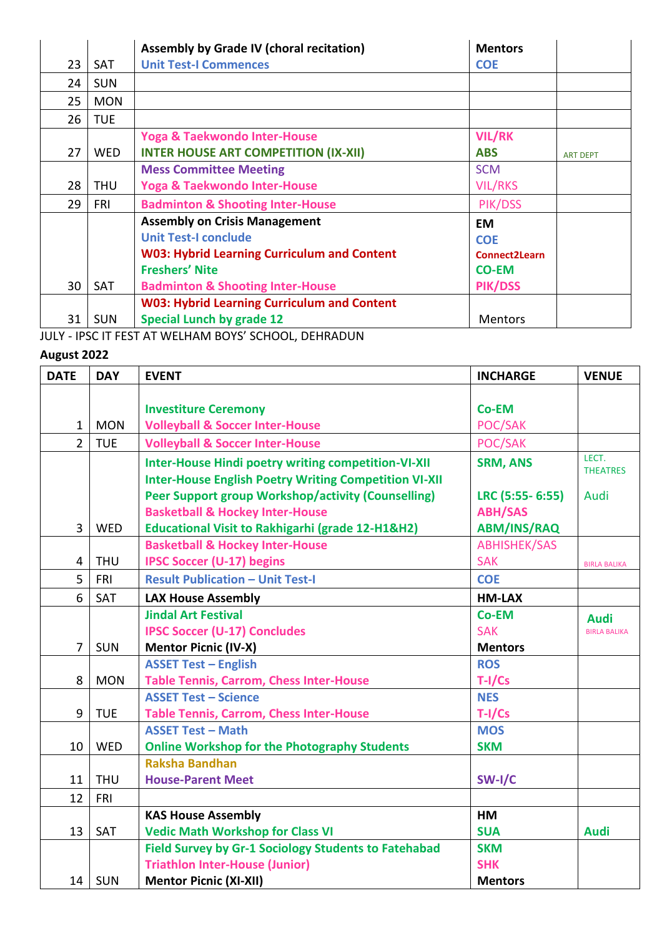|    |            | Assembly by Grade IV (choral recitation)           | <b>Mentors</b>       |                 |
|----|------------|----------------------------------------------------|----------------------|-----------------|
| 23 | <b>SAT</b> | <b>Unit Test-I Commences</b>                       | <b>COE</b>           |                 |
| 24 | <b>SUN</b> |                                                    |                      |                 |
| 25 | <b>MON</b> |                                                    |                      |                 |
| 26 | <b>TUE</b> |                                                    |                      |                 |
|    |            | <b>Yoga &amp; Taekwondo Inter-House</b>            | <b>VIL/RK</b>        |                 |
| 27 | <b>WED</b> | <b>INTER HOUSE ART COMPETITION (IX-XII)</b>        | <b>ABS</b>           | <b>ART DEPT</b> |
|    |            | <b>Mess Committee Meeting</b>                      | <b>SCM</b>           |                 |
| 28 | <b>THU</b> | <b>Yoga &amp; Taekwondo Inter-House</b>            | <b>VIL/RKS</b>       |                 |
| 29 | <b>FRI</b> | <b>Badminton &amp; Shooting Inter-House</b>        | PIK/DSS              |                 |
|    |            | <b>Assembly on Crisis Management</b>               | <b>EM</b>            |                 |
|    |            | <b>Unit Test-I conclude</b>                        | <b>COE</b>           |                 |
|    |            | <b>W03: Hybrid Learning Curriculum and Content</b> | <b>Connect2Learn</b> |                 |
|    |            | <b>Freshers' Nite</b>                              | <b>CO-EM</b>         |                 |
| 30 | <b>SAT</b> | <b>Badminton &amp; Shooting Inter-House</b>        | PIK/DSS              |                 |
|    |            | <b>W03: Hybrid Learning Curriculum and Content</b> |                      |                 |
| 31 | <b>SUN</b> | <b>Special Lunch by grade 12</b>                   | <b>Mentors</b>       |                 |

JULY - IPSC IT FEST AT WELHAM BOYS' SCHOOL, DEHRADUN

## **August 2022**

| <b>DATE</b>    | <b>DAY</b> | <b>EVENT</b>                                                 | <b>INCHARGE</b>     | <b>VENUE</b>        |
|----------------|------------|--------------------------------------------------------------|---------------------|---------------------|
|                |            |                                                              |                     |                     |
|                |            | <b>Investiture Ceremony</b>                                  | Co-EM               |                     |
| $\mathbf{1}$   | <b>MON</b> | <b>Volleyball &amp; Soccer Inter-House</b>                   | POC/SAK             |                     |
| $\overline{2}$ | <b>TUE</b> | <b>Volleyball &amp; Soccer Inter-House</b>                   | POC/SAK             |                     |
|                |            | <b>Inter-House Hindi poetry writing competition-VI-XII</b>   | <b>SRM, ANS</b>     | LECT.               |
|                |            | <b>Inter-House English Poetry Writing Competition VI-XII</b> |                     | <b>THEATRES</b>     |
|                |            | <b>Peer Support group Workshop/activity (Counselling)</b>    | LRC (5:55-6:55)     | Audi                |
|                |            | <b>Basketball &amp; Hockey Inter-House</b>                   | <b>ABH/SAS</b>      |                     |
| $\overline{3}$ | WED        | <b>Educational Visit to Rakhigarhi (grade 12-H1&amp;H2)</b>  | <b>ABM/INS/RAQ</b>  |                     |
|                |            | <b>Basketball &amp; Hockey Inter-House</b>                   | <b>ABHISHEK/SAS</b> |                     |
| $\overline{4}$ | <b>THU</b> | <b>IPSC Soccer (U-17) begins</b>                             | <b>SAK</b>          | <b>BIRLA BALIKA</b> |
| 5              | <b>FRI</b> | <b>Result Publication - Unit Test-I</b>                      | <b>COE</b>          |                     |
| 6              | SAT        | <b>LAX House Assembly</b>                                    | <b>HM-LAX</b>       |                     |
|                |            | <b>Jindal Art Festival</b>                                   | Co-EM               | <b>Audi</b>         |
|                |            | <b>IPSC Soccer (U-17) Concludes</b>                          | <b>SAK</b>          | <b>BIRLA BALIKA</b> |
| 7              | <b>SUN</b> | <b>Mentor Picnic (IV-X)</b>                                  | <b>Mentors</b>      |                     |
|                |            | <b>ASSET Test - English</b>                                  | <b>ROS</b>          |                     |
| 8              | <b>MON</b> | <b>Table Tennis, Carrom, Chess Inter-House</b>               | $T-I/Cs$            |                     |
|                |            | <b>ASSET Test - Science</b>                                  | <b>NES</b>          |                     |
| 9              | <b>TUE</b> | <b>Table Tennis, Carrom, Chess Inter-House</b>               | $T-I/Cs$            |                     |
|                |            | <b>ASSET Test - Math</b>                                     | <b>MOS</b>          |                     |
| 10             | <b>WED</b> | <b>Online Workshop for the Photography Students</b>          | <b>SKM</b>          |                     |
|                |            | <b>Raksha Bandhan</b>                                        |                     |                     |
| 11             | <b>THU</b> | <b>House-Parent Meet</b>                                     | SW-I/C              |                     |
| 12             | FRI        |                                                              |                     |                     |
|                |            | <b>KAS House Assembly</b>                                    | HM                  |                     |
| 13             | SAT        | <b>Vedic Math Workshop for Class VI</b>                      | <b>SUA</b>          | <b>Audi</b>         |
|                |            | Field Survey by Gr-1 Sociology Students to Fatehabad         | <b>SKM</b>          |                     |
|                |            | <b>Triathlon Inter-House (Junior)</b>                        | <b>SHK</b>          |                     |
| 14             | SUN        | <b>Mentor Picnic (XI-XII)</b>                                | <b>Mentors</b>      |                     |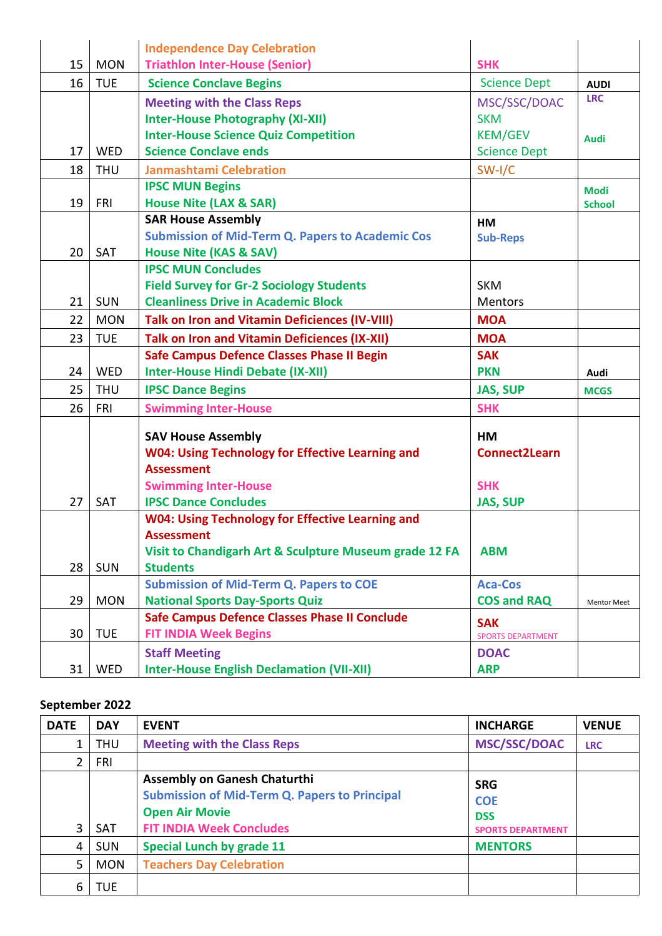|    |            | <b>Independence Day Celebration</b>                                          |                                        |                    |
|----|------------|------------------------------------------------------------------------------|----------------------------------------|--------------------|
| 15 | <b>MON</b> | <b>Triathlon Inter-House (Senior)</b>                                        | <b>SHK</b>                             |                    |
| 16 | <b>TUE</b> | <b>Science Conclave Begins</b>                                               | <b>Science Dept</b>                    | <b>AUDI</b>        |
|    |            | <b>Meeting with the Class Reps</b>                                           | MSC/SSC/DOAC                           | <b>LRC</b>         |
|    |            | <b>Inter-House Photography (XI-XII)</b>                                      | <b>SKM</b>                             |                    |
|    |            | <b>Inter-House Science Quiz Competition</b>                                  | <b>KEM/GEV</b>                         | <b>Audi</b>        |
| 17 | <b>WED</b> | <b>Science Conclave ends</b>                                                 | <b>Science Dept</b>                    |                    |
| 18 | <b>THU</b> | <b>Janmashtami Celebration</b>                                               | $SW-I/C$                               |                    |
|    |            | <b>IPSC MUN Begins</b>                                                       |                                        | <b>Modi</b>        |
| 19 | FRI        | <b>House Nite (LAX &amp; SAR)</b>                                            |                                        | <b>School</b>      |
|    |            | <b>SAR House Assembly</b>                                                    | HM                                     |                    |
|    |            | <b>Submission of Mid-Term Q. Papers to Academic Cos</b>                      | <b>Sub-Reps</b>                        |                    |
| 20 | SAT        | <b>House Nite (KAS &amp; SAV)</b>                                            |                                        |                    |
|    |            | <b>IPSC MUN Concludes</b>                                                    |                                        |                    |
|    |            | <b>Field Survey for Gr-2 Sociology Students</b>                              | <b>SKM</b>                             |                    |
| 21 | <b>SUN</b> | <b>Cleanliness Drive in Academic Block</b>                                   | Mentors                                |                    |
| 22 | <b>MON</b> | <b>Talk on Iron and Vitamin Deficiences (IV-VIII)</b>                        | <b>MOA</b>                             |                    |
| 23 | <b>TUE</b> | <b>Talk on Iron and Vitamin Deficiences (IX-XII)</b>                         | <b>MOA</b>                             |                    |
|    |            | <b>Safe Campus Defence Classes Phase II Begin</b>                            | <b>SAK</b>                             |                    |
| 24 | <b>WED</b> | <b>Inter-House Hindi Debate (IX-XII)</b>                                     | <b>PKN</b>                             | Audi               |
| 25 | <b>THU</b> | <b>IPSC Dance Begins</b>                                                     | <b>JAS, SUP</b>                        | <b>MCGS</b>        |
| 26 | <b>FRI</b> | <b>Swimming Inter-House</b>                                                  | <b>SHK</b>                             |                    |
|    |            |                                                                              |                                        |                    |
|    |            | <b>SAV House Assembly</b>                                                    | <b>HM</b>                              |                    |
|    |            | <b>W04: Using Technology for Effective Learning and</b><br><b>Assessment</b> | <b>Connect2Learn</b>                   |                    |
|    |            |                                                                              | <b>SHK</b>                             |                    |
| 27 | SAT        | <b>Swimming Inter-House</b><br><b>IPSC Dance Concludes</b>                   |                                        |                    |
|    |            | <b>W04: Using Technology for Effective Learning and</b>                      | <b>JAS, SUP</b>                        |                    |
|    |            | <b>Assessment</b>                                                            |                                        |                    |
|    |            | Visit to Chandigarh Art & Sculpture Museum grade 12 FA                       | <b>ABM</b>                             |                    |
| 28 | <b>SUN</b> | <b>Students</b>                                                              |                                        |                    |
|    |            | <b>Submission of Mid-Term Q. Papers to COE</b>                               | <b>Aca-Cos</b>                         |                    |
| 29 | <b>MON</b> | <b>National Sports Day-Sports Quiz</b>                                       | <b>COS and RAQ</b>                     | <b>Mentor Meet</b> |
|    |            | <b>Safe Campus Defence Classes Phase II Conclude</b>                         |                                        |                    |
| 30 | <b>TUE</b> | <b>FIT INDIA Week Begins</b>                                                 | <b>SAK</b><br><b>SPORTS DEPARTMENT</b> |                    |
|    |            | <b>Staff Meeting</b>                                                         | <b>DOAC</b>                            |                    |
| 31 | WED        | <b>Inter-House English Declamation (VII-XII)</b>                             | <b>ARP</b>                             |                    |

# **September 2022**

| <b>DATE</b> | <b>DAY</b> | <b>EVENT</b>                                                                                                                                            | <b>INCHARGE</b>                                                    | <b>VENUE</b> |
|-------------|------------|---------------------------------------------------------------------------------------------------------------------------------------------------------|--------------------------------------------------------------------|--------------|
|             | <b>THU</b> | <b>Meeting with the Class Reps</b>                                                                                                                      | <b>MSC/SSC/DOAC</b>                                                | <b>LRC</b>   |
| 2           | <b>FRI</b> |                                                                                                                                                         |                                                                    |              |
| 3           | <b>SAT</b> | <b>Assembly on Ganesh Chaturthi</b><br><b>Submission of Mid-Term Q. Papers to Principal</b><br><b>Open Air Movie</b><br><b>FIT INDIA Week Concludes</b> | <b>SRG</b><br><b>COE</b><br><b>DSS</b><br><b>SPORTS DEPARTMENT</b> |              |
| 4           | <b>SUN</b> | <b>Special Lunch by grade 11</b>                                                                                                                        | <b>MENTORS</b>                                                     |              |
| 5           | <b>MON</b> | <b>Teachers Day Celebration</b>                                                                                                                         |                                                                    |              |
| 6           | <b>TUE</b> |                                                                                                                                                         |                                                                    |              |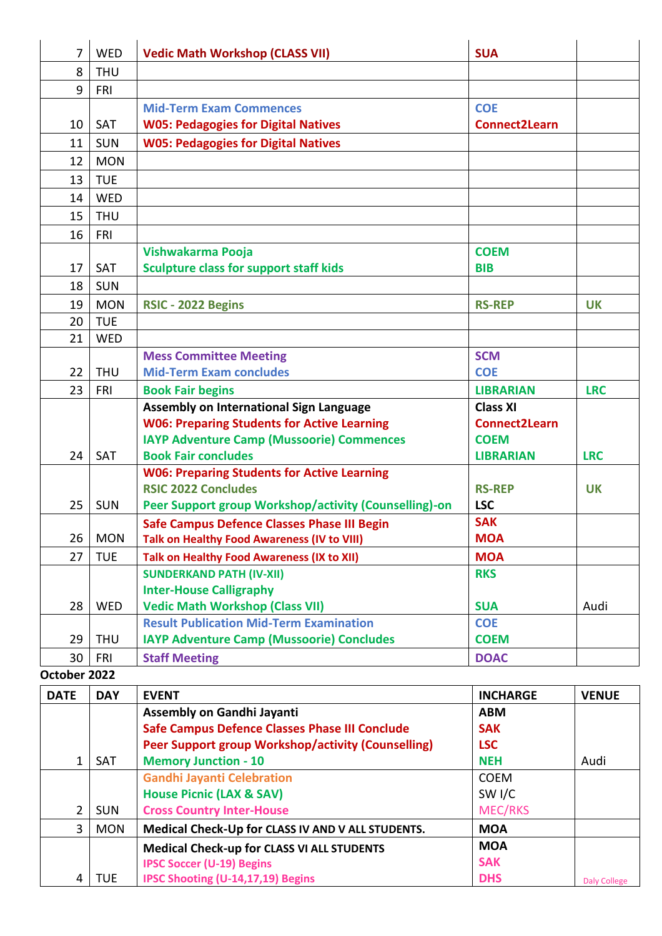| 7            | <b>WED</b> | <b>Vedic Math Workshop (CLASS VII)</b>                                                            | <b>SUA</b>               |              |
|--------------|------------|---------------------------------------------------------------------------------------------------|--------------------------|--------------|
| 8            | <b>THU</b> |                                                                                                   |                          |              |
| 9            | FRI        |                                                                                                   |                          |              |
|              |            | <b>Mid-Term Exam Commences</b>                                                                    | <b>COE</b>               |              |
| 10           | <b>SAT</b> | <b>W05: Pedagogies for Digital Natives</b>                                                        | <b>Connect2Learn</b>     |              |
| 11           | <b>SUN</b> | <b>W05: Pedagogies for Digital Natives</b>                                                        |                          |              |
| 12           | <b>MON</b> |                                                                                                   |                          |              |
| 13           | <b>TUE</b> |                                                                                                   |                          |              |
| 14           | <b>WED</b> |                                                                                                   |                          |              |
| 15           | <b>THU</b> |                                                                                                   |                          |              |
| 16           | <b>FRI</b> |                                                                                                   |                          |              |
|              |            | Vishwakarma Pooja                                                                                 | <b>COEM</b>              |              |
| 17           | <b>SAT</b> | <b>Sculpture class for support staff kids</b>                                                     | <b>BIB</b>               |              |
| 18           | <b>SUN</b> |                                                                                                   |                          |              |
| 19           | <b>MON</b> | RSIC - 2022 Begins                                                                                | <b>RS-REP</b>            | <b>UK</b>    |
| 20           | <b>TUE</b> |                                                                                                   |                          |              |
| 21           | <b>WED</b> |                                                                                                   |                          |              |
|              |            | <b>Mess Committee Meeting</b>                                                                     | <b>SCM</b>               |              |
| 22           | <b>THU</b> | <b>Mid-Term Exam concludes</b>                                                                    | <b>COE</b>               |              |
| 23           | <b>FRI</b> | <b>Book Fair begins</b>                                                                           | <b>LIBRARIAN</b>         | <b>LRC</b>   |
|              |            | Assembly on International Sign Language                                                           | <b>Class XI</b>          |              |
|              |            | <b>W06: Preparing Students for Active Learning</b>                                                | <b>Connect2Learn</b>     |              |
|              |            | <b>IAYP Adventure Camp (Mussoorie) Commences</b>                                                  | <b>COEM</b>              |              |
| 24           | SAT        | <b>Book Fair concludes</b>                                                                        | <b>LIBRARIAN</b>         | <b>LRC</b>   |
|              |            | <b>W06: Preparing Students for Active Learning</b>                                                |                          |              |
|              |            | <b>RSIC 2022 Concludes</b>                                                                        | <b>RS-REP</b>            | <b>UK</b>    |
| 25           | <b>SUN</b> | Peer Support group Workshop/activity (Counselling)-on                                             | <b>LSC</b><br><b>SAK</b> |              |
| 26           | <b>MON</b> | <b>Safe Campus Defence Classes Phase III Begin</b><br>Talk on Healthy Food Awareness (IV to VIII) | <b>MOA</b>               |              |
| 27           | <b>TUE</b> | <b>Talk on Healthy Food Awareness (IX to XII)</b>                                                 | <b>MOA</b>               |              |
|              |            | <b>SUNDERKAND PATH (IV-XII)</b>                                                                   | <b>RKS</b>               |              |
|              |            | <b>Inter-House Calligraphy</b>                                                                    |                          |              |
| 28           | <b>WED</b> | <b>Vedic Math Workshop (Class VII)</b>                                                            | <b>SUA</b>               | Audi         |
|              |            | <b>Result Publication Mid-Term Examination</b>                                                    | <b>COE</b>               |              |
| 29           | <b>THU</b> | <b>IAYP Adventure Camp (Mussoorie) Concludes</b>                                                  | <b>COEM</b>              |              |
| 30           | <b>FRI</b> | <b>Staff Meeting</b>                                                                              | <b>DOAC</b>              |              |
| October 2022 |            |                                                                                                   |                          |              |
| <b>DATE</b>  | <b>DAY</b> | <b>EVENT</b>                                                                                      | <b>INCHARGE</b>          | <b>VENUE</b> |
|              |            | <b>Assembly on Gandhi Jayanti</b>                                                                 | <b>ABM</b>               |              |
|              |            | <b>Safe Campus Defence Classes Phase III Conclude</b>                                             | <b>SAK</b>               |              |
|              |            | Peer Support group Workshop/activity (Counselling)                                                | <b>LSC</b>               |              |
| $\mathbf{1}$ | SAT        | <b>Memory Junction - 10</b>                                                                       | <b>NEH</b>               | Audi         |
|              |            | <b>Gandhi Jayanti Celebration</b>                                                                 | <b>COEM</b>              |              |

SW I/C MEC/RKS

**MOA SAK** 

**DHS** Daly College

 $2$  SUN

4 TUE

**House Picnic (LAX & SAV) Cross Country Inter-House**

**IPSC Soccer (U-19) Begins**

**IPSC Shooting (U-14,17,19) Begins**

3 MON **Medical Check-Up for CLASS IV AND V ALL STUDENTS. MOA**

**Medical Check-up for CLASS VI ALL STUDENTS**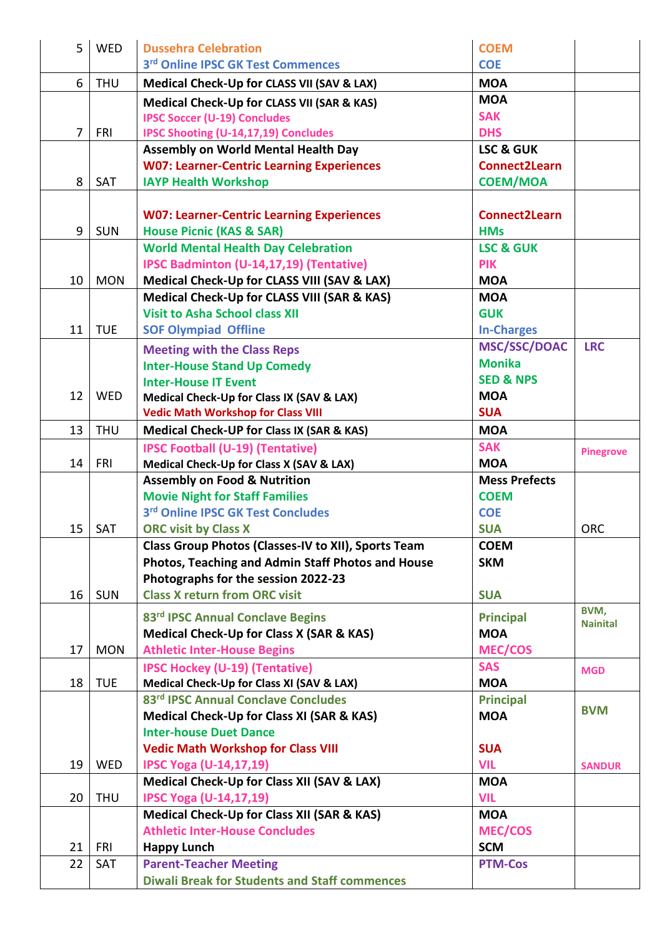| 5              | <b>WED</b> | <b>Dussehra Celebration</b>                           | <b>COEM</b>          |                  |
|----------------|------------|-------------------------------------------------------|----------------------|------------------|
|                |            | 3rd Online IPSC GK Test Commences                     | <b>COE</b>           |                  |
| 6              | <b>THU</b> | Medical Check-Up for CLASS VII (SAV & LAX)            | <b>MOA</b>           |                  |
|                |            | <b>Medical Check-Up for CLASS VII (SAR &amp; KAS)</b> | <b>MOA</b>           |                  |
|                |            | <b>IPSC Soccer (U-19) Concludes</b>                   | <b>SAK</b>           |                  |
| $\overline{7}$ | <b>FRI</b> | <b>IPSC Shooting (U-14,17,19) Concludes</b>           | <b>DHS</b>           |                  |
|                |            | <b>Assembly on World Mental Health Day</b>            | <b>LSC &amp; GUK</b> |                  |
|                |            | <b>W07: Learner-Centric Learning Experiences</b>      | Connect2Learn        |                  |
| 8              | <b>SAT</b> | <b>IAYP Health Workshop</b>                           | <b>COEM/MOA</b>      |                  |
|                |            |                                                       |                      |                  |
|                |            | <b>W07: Learner-Centric Learning Experiences</b>      | <b>Connect2Learn</b> |                  |
| 9              | <b>SUN</b> | <b>House Picnic (KAS &amp; SAR)</b>                   | <b>HMs</b>           |                  |
|                |            | <b>World Mental Health Day Celebration</b>            | <b>LSC &amp; GUK</b> |                  |
|                |            | IPSC Badminton (U-14,17,19) (Tentative)               | <b>PIK</b>           |                  |
| 10             | <b>MON</b> | Medical Check-Up for CLASS VIII (SAV & LAX)           | <b>MOA</b>           |                  |
|                |            | Medical Check-Up for CLASS VIII (SAR & KAS)           | <b>MOA</b>           |                  |
|                |            | <b>Visit to Asha School class XII</b>                 | <b>GUK</b>           |                  |
| 11             | <b>TUE</b> | <b>SOF Olympiad Offline</b>                           | <b>In-Charges</b>    |                  |
|                |            | <b>Meeting with the Class Reps</b>                    | <b>MSC/SSC/DOAC</b>  | <b>LRC</b>       |
|                |            | <b>Inter-House Stand Up Comedy</b>                    | <b>Monika</b>        |                  |
|                |            | <b>Inter-House IT Event</b>                           | <b>SED &amp; NPS</b> |                  |
| 12             | <b>WED</b> | Medical Check-Up for Class IX (SAV & LAX)             | <b>MOA</b>           |                  |
|                |            | <b>Vedic Math Workshop for Class VIII</b>             | <b>SUA</b>           |                  |
| 13             | <b>THU</b> | <b>Medical Check-UP for Class IX (SAR &amp; KAS)</b>  | <b>MOA</b>           |                  |
|                |            | <b>IPSC Football (U-19) (Tentative)</b>               | <b>SAK</b>           |                  |
| 14             | <b>FRI</b> | Medical Check-Up for Class X (SAV & LAX)              | <b>MOA</b>           | <b>Pinegrove</b> |
|                |            | <b>Assembly on Food &amp; Nutrition</b>               | <b>Mess Prefects</b> |                  |
|                |            | <b>Movie Night for Staff Families</b>                 | <b>COEM</b>          |                  |
|                |            | 3rd Online IPSC GK Test Concludes                     | <b>COE</b>           |                  |
| 15             | <b>SAT</b> | <b>ORC visit by Class X</b>                           | <b>SUA</b>           | <b>ORC</b>       |
|                |            | Class Group Photos (Classes-IV to XII), Sports Team   | <b>COEM</b>          |                  |
|                |            | Photos, Teaching and Admin Staff Photos and House     | <b>SKM</b>           |                  |
|                |            | Photographs for the session 2022-23                   |                      |                  |
| 16             | <b>SUN</b> | <b>Class X return from ORC visit</b>                  | <b>SUA</b>           |                  |
|                |            |                                                       |                      | BVM,             |
|                |            | 83rd IPSC Annual Conclave Begins                      | <b>Principal</b>     | <b>Nainital</b>  |
|                |            | <b>Medical Check-Up for Class X (SAR &amp; KAS)</b>   | <b>MOA</b>           |                  |
| 17             | <b>MON</b> | <b>Athletic Inter-House Begins</b>                    | <b>MEC/COS</b>       |                  |
|                |            | <b>IPSC Hockey (U-19) (Tentative)</b>                 | <b>SAS</b>           | <b>MGD</b>       |
| 18             | <b>TUE</b> | Medical Check-Up for Class XI (SAV & LAX)             | <b>MOA</b>           |                  |
|                |            | 83rd IPSC Annual Conclave Concludes                   | <b>Principal</b>     | <b>BVM</b>       |
|                |            | Medical Check-Up for Class XI (SAR & KAS)             | <b>MOA</b>           |                  |
|                |            | <b>Inter-house Duet Dance</b>                         |                      |                  |
|                |            | <b>Vedic Math Workshop for Class VIII</b>             | <b>SUA</b>           |                  |
| 19             | WED        | <b>IPSC Yoga (U-14,17,19)</b>                         | <b>VIL</b>           | <b>SANDUR</b>    |
|                |            | Medical Check-Up for Class XII (SAV & LAX)            | <b>MOA</b>           |                  |
| 20             | <b>THU</b> | <b>IPSC Yoga (U-14,17,19)</b>                         | <b>VIL</b>           |                  |
|                |            | Medical Check-Up for Class XII (SAR & KAS)            | <b>MOA</b>           |                  |
|                |            | <b>Athletic Inter-House Concludes</b>                 | <b>MEC/COS</b>       |                  |
| 21             | <b>FRI</b> | <b>Happy Lunch</b>                                    | <b>SCM</b>           |                  |
| 22             | <b>SAT</b> | <b>Parent-Teacher Meeting</b>                         | <b>PTM-Cos</b>       |                  |
|                |            | <b>Diwali Break for Students and Staff commences</b>  |                      |                  |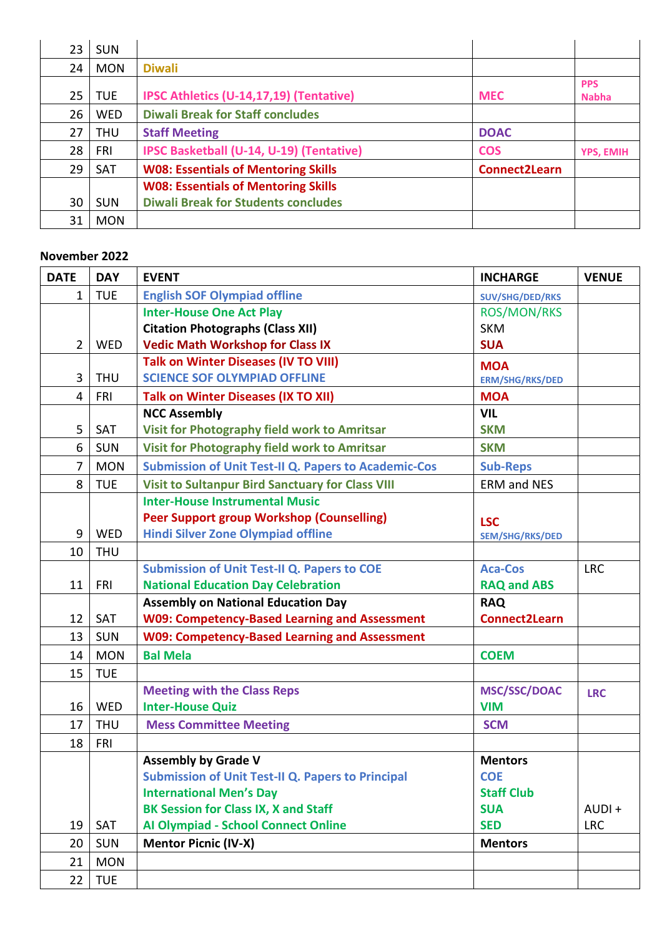| 23 | <b>SUN</b> |                                            |                      |                            |
|----|------------|--------------------------------------------|----------------------|----------------------------|
| 24 | <b>MON</b> | <b>Diwali</b>                              |                      |                            |
| 25 | <b>TUE</b> | IPSC Athletics (U-14,17,19) (Tentative)    | <b>MEC</b>           | <b>PPS</b><br><b>Nabha</b> |
| 26 | <b>WED</b> | <b>Diwali Break for Staff concludes</b>    |                      |                            |
| 27 | <b>THU</b> | <b>Staff Meeting</b>                       | <b>DOAC</b>          |                            |
| 28 | <b>FRI</b> | IPSC Basketball (U-14, U-19) (Tentative)   | <b>COS</b>           | <b>YPS, EMIH</b>           |
| 29 | <b>SAT</b> | <b>W08: Essentials of Mentoring Skills</b> | <b>Connect2Learn</b> |                            |
|    |            | <b>W08: Essentials of Mentoring Skills</b> |                      |                            |
| 30 | <b>SUN</b> | <b>Diwali Break for Students concludes</b> |                      |                            |
| 31 | <b>MON</b> |                                            |                      |                            |

#### **November 2022**

| <b>DATE</b>    | <b>DAY</b> | <b>EVENT</b>                                                | <b>INCHARGE</b>        | <b>VENUE</b> |
|----------------|------------|-------------------------------------------------------------|------------------------|--------------|
| $\mathbf{1}$   | <b>TUE</b> | <b>English SOF Olympiad offline</b>                         | SUV/SHG/DED/RKS        |              |
|                |            | <b>Inter-House One Act Play</b>                             | <b>ROS/MON/RKS</b>     |              |
|                |            | <b>Citation Photographs (Class XII)</b>                     | <b>SKM</b>             |              |
| $\overline{2}$ | <b>WED</b> | <b>Vedic Math Workshop for Class IX</b>                     | <b>SUA</b>             |              |
|                |            | <b>Talk on Winter Diseases (IV TO VIII)</b>                 | <b>MOA</b>             |              |
| 3              | <b>THU</b> | <b>SCIENCE SOF OLYMPIAD OFFLINE</b>                         | <b>ERM/SHG/RKS/DED</b> |              |
| 4              | FRI        | <b>Talk on Winter Diseases (IX TO XII)</b>                  | <b>MOA</b>             |              |
|                |            | <b>NCC Assembly</b>                                         | <b>VIL</b>             |              |
| 5              | SAT        | Visit for Photography field work to Amritsar                | <b>SKM</b>             |              |
| 6              | SUN        | <b>Visit for Photography field work to Amritsar</b>         | <b>SKM</b>             |              |
| $\overline{7}$ | <b>MON</b> | <b>Submission of Unit Test-II Q. Papers to Academic-Cos</b> | <b>Sub-Reps</b>        |              |
| 8              | <b>TUE</b> | <b>Visit to Sultanpur Bird Sanctuary for Class VIII</b>     | <b>ERM and NES</b>     |              |
|                |            | <b>Inter-House Instrumental Music</b>                       |                        |              |
|                |            | <b>Peer Support group Workshop (Counselling)</b>            | <b>LSC</b>             |              |
| 9              | WED        | <b>Hindi Silver Zone Olympiad offline</b>                   | <b>SEM/SHG/RKS/DED</b> |              |
| 10             | <b>THU</b> |                                                             |                        |              |
|                |            | <b>Submission of Unit Test-II Q. Papers to COE</b>          | <b>Aca-Cos</b>         | <b>LRC</b>   |
| 11             | <b>FRI</b> | <b>National Education Day Celebration</b>                   | <b>RAQ and ABS</b>     |              |
|                |            | <b>Assembly on National Education Day</b>                   | <b>RAQ</b>             |              |
| 12             | SAT        | <b>W09: Competency-Based Learning and Assessment</b>        | <b>Connect2Learn</b>   |              |
| 13             | <b>SUN</b> | <b>W09: Competency-Based Learning and Assessment</b>        |                        |              |
| 14             | <b>MON</b> | <b>Bal Mela</b>                                             | <b>COEM</b>            |              |
| 15             | <b>TUE</b> |                                                             |                        |              |
|                |            | <b>Meeting with the Class Reps</b>                          | <b>MSC/SSC/DOAC</b>    | <b>LRC</b>   |
| 16             | <b>WED</b> | <b>Inter-House Quiz</b>                                     | <b>VIM</b>             |              |
| 17             | <b>THU</b> | <b>Mess Committee Meeting</b>                               | <b>SCM</b>             |              |
| 18             | <b>FRI</b> |                                                             |                        |              |
|                |            | <b>Assembly by Grade V</b>                                  | <b>Mentors</b>         |              |
|                |            | <b>Submission of Unit Test-II Q. Papers to Principal</b>    | <b>COE</b>             |              |
|                |            | <b>International Men's Day</b>                              | <b>Staff Club</b>      |              |
|                |            | <b>BK Session for Class IX, X and Staff</b>                 | <b>SUA</b>             | AUDI+        |
| 19             | SAT        | <b>Al Olympiad - School Connect Online</b>                  | <b>SED</b>             | <b>LRC</b>   |
| 20             | <b>SUN</b> | <b>Mentor Picnic (IV-X)</b>                                 | <b>Mentors</b>         |              |
| 21             | <b>MON</b> |                                                             |                        |              |
| 22             | <b>TUE</b> |                                                             |                        |              |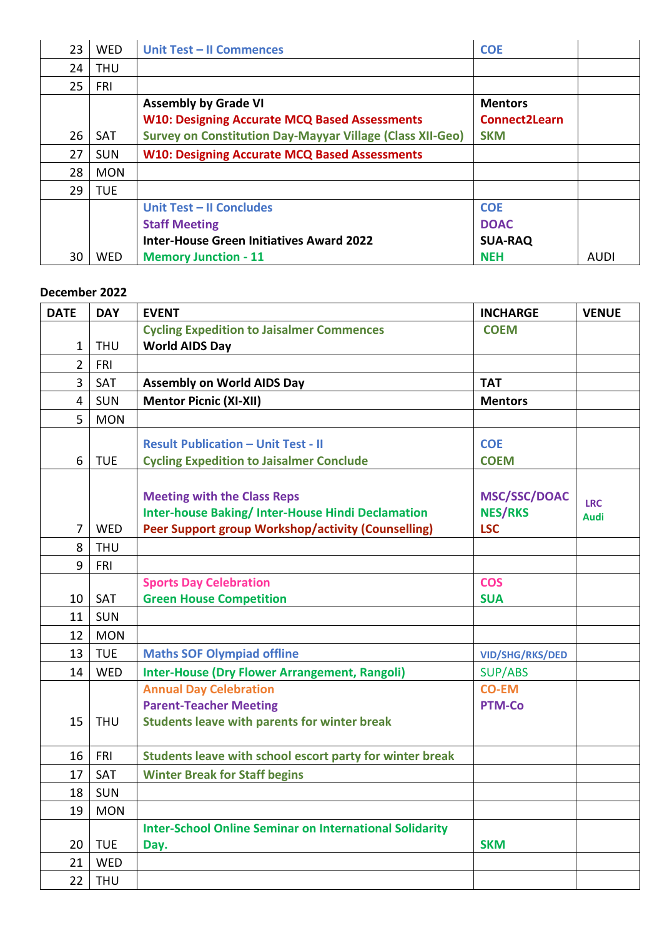| 23 | <b>WED</b> | Unit Test - II Commences                                                            | <b>COE</b>                             |             |
|----|------------|-------------------------------------------------------------------------------------|----------------------------------------|-------------|
| 24 | <b>THU</b> |                                                                                     |                                        |             |
| 25 | <b>FRI</b> |                                                                                     |                                        |             |
|    |            | <b>Assembly by Grade VI</b><br><b>W10: Designing Accurate MCQ Based Assessments</b> | <b>Mentors</b><br><b>Connect2Learn</b> |             |
| 26 | <b>SAT</b> | <b>Survey on Constitution Day-Mayyar Village (Class XII-Geo)</b>                    | <b>SKM</b>                             |             |
| 27 | <b>SUN</b> | <b>W10: Designing Accurate MCQ Based Assessments</b>                                |                                        |             |
| 28 | <b>MON</b> |                                                                                     |                                        |             |
| 29 | <b>TUE</b> |                                                                                     |                                        |             |
|    |            | Unit Test - II Concludes<br><b>Staff Meeting</b>                                    | <b>COE</b><br><b>DOAC</b>              |             |
|    |            | <b>Inter-House Green Initiatives Award 2022</b>                                     | <b>SUA-RAQ</b>                         |             |
| 30 | <b>WED</b> | <b>Memory Junction - 11</b>                                                         | <b>NEH</b>                             | <b>AUDI</b> |

#### **December 2022**

| <b>DATE</b>    | <b>DAY</b> | <b>EVENT</b>                                                   | <b>INCHARGE</b>        | <b>VENUE</b>              |
|----------------|------------|----------------------------------------------------------------|------------------------|---------------------------|
|                |            | <b>Cycling Expedition to Jaisalmer Commences</b>               | <b>COEM</b>            |                           |
| 1              | <b>THU</b> | <b>World AIDS Day</b>                                          |                        |                           |
| $\overline{2}$ | FRI        |                                                                |                        |                           |
| 3              | SAT        | <b>Assembly on World AIDS Day</b>                              | <b>TAT</b>             |                           |
| 4              | <b>SUN</b> | <b>Mentor Picnic (XI-XII)</b>                                  | <b>Mentors</b>         |                           |
| 5              | <b>MON</b> |                                                                |                        |                           |
|                |            | <b>Result Publication - Unit Test - II</b>                     | <b>COE</b>             |                           |
| 6              | <b>TUE</b> | <b>Cycling Expedition to Jaisalmer Conclude</b>                | <b>COEM</b>            |                           |
|                |            |                                                                |                        |                           |
|                |            | <b>Meeting with the Class Reps</b>                             | <b>MSC/SSC/DOAC</b>    |                           |
|                |            | <b>Inter-house Baking/Inter-House Hindi Declamation</b>        | <b>NES/RKS</b>         | <b>LRC</b><br><b>Audi</b> |
| $\overline{7}$ | WED        | Peer Support group Workshop/activity (Counselling)             | <b>LSC</b>             |                           |
| 8              | <b>THU</b> |                                                                |                        |                           |
| 9              | FRI        |                                                                |                        |                           |
|                |            | <b>Sports Day Celebration</b>                                  | <b>COS</b>             |                           |
| 10             | SAT        | <b>Green House Competition</b>                                 | <b>SUA</b>             |                           |
| 11             | <b>SUN</b> |                                                                |                        |                           |
| 12             | <b>MON</b> |                                                                |                        |                           |
| 13             | <b>TUE</b> | <b>Maths SOF Olympiad offline</b>                              | <b>VID/SHG/RKS/DED</b> |                           |
| 14             | WED        | <b>Inter-House (Dry Flower Arrangement, Rangoli)</b>           | <b>SUP/ABS</b>         |                           |
|                |            | <b>Annual Day Celebration</b>                                  | <b>CO-EM</b>           |                           |
|                |            | <b>Parent-Teacher Meeting</b>                                  | <b>PTM-Co</b>          |                           |
| 15             | <b>THU</b> | <b>Students leave with parents for winter break</b>            |                        |                           |
|                |            |                                                                |                        |                           |
| 16             | FRI        | Students leave with school escort party for winter break       |                        |                           |
| 17             | SAT        | <b>Winter Break for Staff begins</b>                           |                        |                           |
| 18             | <b>SUN</b> |                                                                |                        |                           |
| 19             | <b>MON</b> |                                                                |                        |                           |
|                |            | <b>Inter-School Online Seminar on International Solidarity</b> |                        |                           |
| 20             | <b>TUE</b> | Day.                                                           | <b>SKM</b>             |                           |
| 21             | WED        |                                                                |                        |                           |
| 22             | <b>THU</b> |                                                                |                        |                           |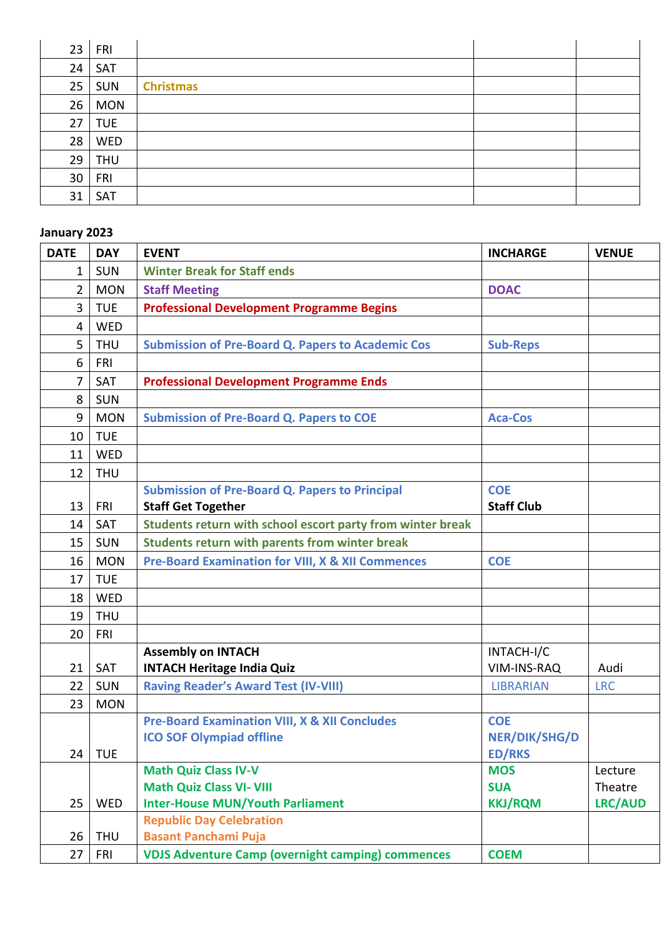| 23 | FRI        |                  |  |
|----|------------|------------------|--|
| 24 | SAT        |                  |  |
| 25 | <b>SUN</b> | <b>Christmas</b> |  |
| 26 | <b>MON</b> |                  |  |
| 27 | <b>TUE</b> |                  |  |
| 28 | WED        |                  |  |
| 29 | <b>THU</b> |                  |  |
| 30 | FRI        |                  |  |
| 31 | SAT        |                  |  |

#### **January 2023**

| <b>DATE</b>    | <b>DAY</b> | <b>EVENT</b>                                                 | <b>INCHARGE</b>                       | <b>VENUE</b>   |
|----------------|------------|--------------------------------------------------------------|---------------------------------------|----------------|
| 1              | <b>SUN</b> | <b>Winter Break for Staff ends</b>                           |                                       |                |
| $\overline{2}$ | <b>MON</b> | <b>Staff Meeting</b>                                         | <b>DOAC</b>                           |                |
| 3              | <b>TUE</b> | <b>Professional Development Programme Begins</b>             |                                       |                |
| 4              | <b>WED</b> |                                                              |                                       |                |
| 5              | <b>THU</b> | <b>Submission of Pre-Board Q. Papers to Academic Cos</b>     | <b>Sub-Reps</b>                       |                |
| 6              | <b>FRI</b> |                                                              |                                       |                |
| $\overline{7}$ | <b>SAT</b> | <b>Professional Development Programme Ends</b>               |                                       |                |
| 8              | <b>SUN</b> |                                                              |                                       |                |
| 9              | <b>MON</b> | <b>Submission of Pre-Board Q. Papers to COE</b>              | <b>Aca-Cos</b>                        |                |
| 10             | <b>TUE</b> |                                                              |                                       |                |
| 11             | WED        |                                                              |                                       |                |
| 12             | <b>THU</b> |                                                              |                                       |                |
|                |            | <b>Submission of Pre-Board Q. Papers to Principal</b>        | <b>COE</b>                            |                |
| 13             | <b>FRI</b> | <b>Staff Get Together</b>                                    | <b>Staff Club</b>                     |                |
| 14             | SAT        | Students return with school escort party from winter break   |                                       |                |
| 15             | <b>SUN</b> | Students return with parents from winter break               |                                       |                |
| 16             | <b>MON</b> | <b>Pre-Board Examination for VIII, X &amp; XII Commences</b> | <b>COE</b>                            |                |
| 17             | <b>TUE</b> |                                                              |                                       |                |
| 18             | WED        |                                                              |                                       |                |
| 19             | <b>THU</b> |                                                              |                                       |                |
| 20             | <b>FRI</b> |                                                              |                                       |                |
|                |            | <b>Assembly on INTACH</b>                                    | INTACH-I/C                            |                |
| 21             | <b>SAT</b> | <b>INTACH Heritage India Quiz</b>                            | VIM-INS-RAQ                           | Audi           |
| 22             | <b>SUN</b> | <b>Raving Reader's Award Test (IV-VIII)</b>                  | <b>LIBRARIAN</b>                      | <b>LRC</b>     |
| 23             | <b>MON</b> |                                                              |                                       |                |
|                |            | <b>Pre-Board Examination VIII, X &amp; XII Concludes</b>     | <b>COE</b>                            |                |
| 24             | <b>TUE</b> | <b>ICO SOF Olympiad offline</b>                              | <b>NER/DIK/SHG/D</b><br><b>ED/RKS</b> |                |
|                |            | <b>Math Quiz Class IV-V</b>                                  | <b>MOS</b>                            | Lecture        |
|                |            | <b>Math Quiz Class VI- VIII</b>                              | <b>SUA</b>                            | Theatre        |
| 25             | WED        | <b>Inter-House MUN/Youth Parliament</b>                      | <b>KKJ/RQM</b>                        | <b>LRC/AUD</b> |
|                |            | <b>Republic Day Celebration</b>                              |                                       |                |
| 26             | <b>THU</b> | <b>Basant Panchami Puja</b>                                  |                                       |                |
| 27             | <b>FRI</b> | <b>VDJS Adventure Camp (overnight camping) commences</b>     | <b>COEM</b>                           |                |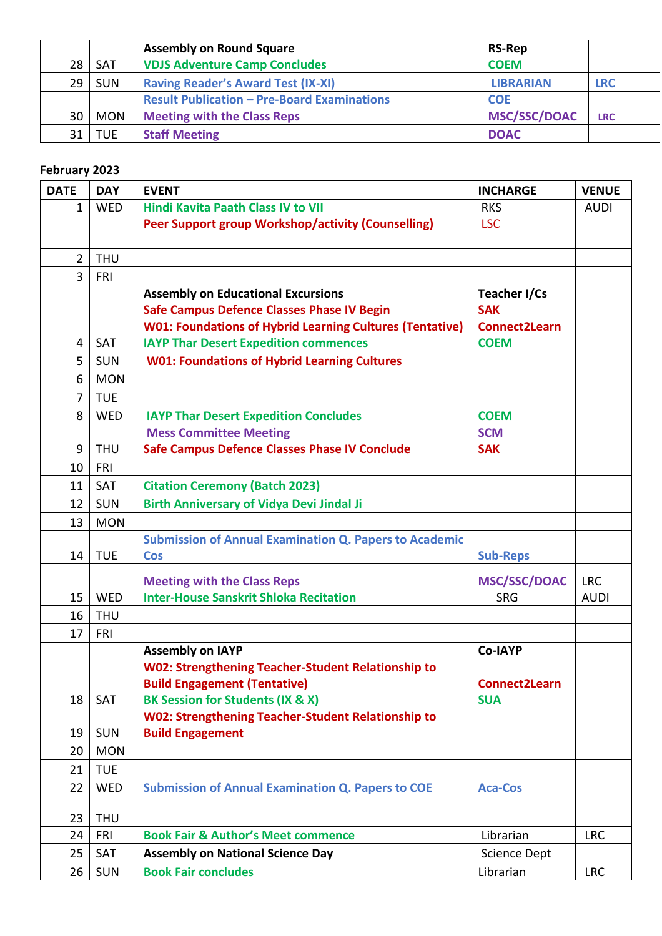|    |            | <b>Assembly on Round Square</b>                    | <b>RS-Rep</b>       |            |
|----|------------|----------------------------------------------------|---------------------|------------|
| 28 | <b>SAT</b> | <b>VDJS Adventure Camp Concludes</b>               | <b>COEM</b>         |            |
| 29 | <b>SUN</b> | <b>Raving Reader's Award Test (IX-XI)</b>          | <b>LIBRARIAN</b>    | <b>LRC</b> |
|    |            | <b>Result Publication - Pre-Board Examinations</b> | <b>COE</b>          |            |
| 30 | <b>MON</b> | <b>Meeting with the Class Reps</b>                 | <b>MSC/SSC/DOAC</b> | <b>LRC</b> |
| 31 | <b>TUE</b> | <b>Staff Meeting</b>                               | <b>DOAC</b>         |            |

## **February 2023**

| <b>DATE</b>    | <b>DAY</b> | <b>EVENT</b>                                                    | <b>INCHARGE</b>     | <b>VENUE</b> |
|----------------|------------|-----------------------------------------------------------------|---------------------|--------------|
| $\mathbf{1}$   | <b>WED</b> | <b>Hindi Kavita Paath Class IV to VII</b>                       | <b>RKS</b>          | <b>AUDI</b>  |
|                |            | Peer Support group Workshop/activity (Counselling)              | <b>LSC</b>          |              |
|                |            |                                                                 |                     |              |
| $\overline{2}$ | <b>THU</b> |                                                                 |                     |              |
| $\overline{3}$ | FRI        |                                                                 |                     |              |
|                |            | <b>Assembly on Educational Excursions</b>                       | Teacher I/Cs        |              |
|                |            | <b>Safe Campus Defence Classes Phase IV Begin</b>               | <b>SAK</b>          |              |
|                |            | <b>W01: Foundations of Hybrid Learning Cultures (Tentative)</b> | Connect2Learn       |              |
| 4              | <b>SAT</b> | <b>IAYP Thar Desert Expedition commences</b>                    | <b>COEM</b>         |              |
| 5              | <b>SUN</b> | <b>W01: Foundations of Hybrid Learning Cultures</b>             |                     |              |
| 6              | <b>MON</b> |                                                                 |                     |              |
| $\overline{7}$ | <b>TUE</b> |                                                                 |                     |              |
| 8              | <b>WED</b> | <b>IAYP Thar Desert Expedition Concludes</b>                    | <b>COEM</b>         |              |
|                |            | <b>Mess Committee Meeting</b>                                   | <b>SCM</b>          |              |
| 9              | <b>THU</b> | <b>Safe Campus Defence Classes Phase IV Conclude</b>            | <b>SAK</b>          |              |
| 10             | <b>FRI</b> |                                                                 |                     |              |
| 11             | SAT        | <b>Citation Ceremony (Batch 2023)</b>                           |                     |              |
| 12             | <b>SUN</b> | <b>Birth Anniversary of Vidya Devi Jindal Ji</b>                |                     |              |
| 13             | <b>MON</b> |                                                                 |                     |              |
|                |            | <b>Submission of Annual Examination Q. Papers to Academic</b>   |                     |              |
| 14             | <b>TUE</b> | Cos                                                             | <b>Sub-Reps</b>     |              |
|                |            | <b>Meeting with the Class Reps</b>                              | <b>MSC/SSC/DOAC</b> | <b>LRC</b>   |
| 15             | <b>WED</b> | <b>Inter-House Sanskrit Shloka Recitation</b>                   | <b>SRG</b>          | <b>AUDI</b>  |
| 16             | <b>THU</b> |                                                                 |                     |              |
| 17             | <b>FRI</b> |                                                                 |                     |              |
|                |            | <b>Assembly on IAYP</b>                                         | Co-IAYP             |              |
|                |            | <b>W02: Strengthening Teacher-Student Relationship to</b>       |                     |              |
|                |            | <b>Build Engagement (Tentative)</b>                             | Connect2Learn       |              |
| 18             | SAT        | BK Session for Students (IX & X)                                | <b>SUA</b>          |              |
|                |            | <b>W02: Strengthening Teacher-Student Relationship to</b>       |                     |              |
| 19             | <b>SUN</b> | <b>Build Engagement</b>                                         |                     |              |
| 20             | <b>MON</b> |                                                                 |                     |              |
| 21             | <b>TUE</b> |                                                                 |                     |              |
| 22             | WED        | <b>Submission of Annual Examination Q. Papers to COE</b>        | <b>Aca-Cos</b>      |              |
| 23             | <b>THU</b> |                                                                 |                     |              |
| 24             | <b>FRI</b> | <b>Book Fair &amp; Author's Meet commence</b>                   | Librarian           | <b>LRC</b>   |
| 25             | SAT        | <b>Assembly on National Science Day</b>                         | <b>Science Dept</b> |              |
|                |            | <b>Book Fair concludes</b>                                      | Librarian           |              |
| 26             | <b>SUN</b> |                                                                 |                     | <b>LRC</b>   |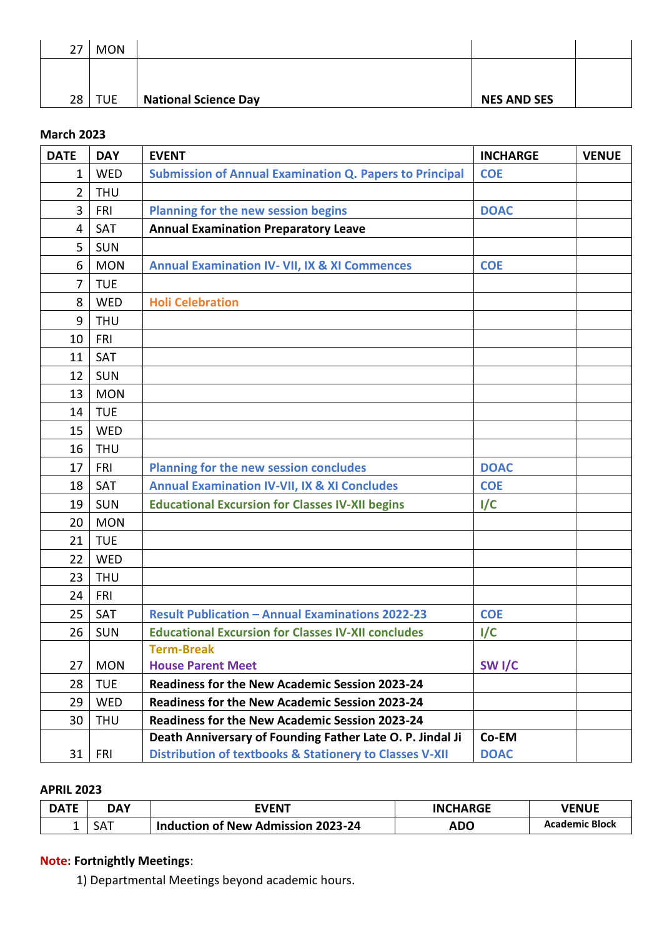| 27 | <b>MON</b> |                             |                    |  |
|----|------------|-----------------------------|--------------------|--|
|    |            |                             |                    |  |
| 28 | <b>TUE</b> | <b>National Science Day</b> | <b>NES AND SES</b> |  |

#### **March 2023**

| <b>DATE</b>    | <b>DAY</b> | <b>EVENT</b>                                                       | <b>INCHARGE</b>   | <b>VENUE</b> |
|----------------|------------|--------------------------------------------------------------------|-------------------|--------------|
| $\mathbf{1}$   | WED        | <b>Submission of Annual Examination Q. Papers to Principal</b>     | <b>COE</b>        |              |
| $\overline{2}$ | <b>THU</b> |                                                                    |                   |              |
| 3              | FRI        | Planning for the new session begins                                | <b>DOAC</b>       |              |
| 4              | SAT        | <b>Annual Examination Preparatory Leave</b>                        |                   |              |
| 5              | SUN        |                                                                    |                   |              |
| 6              | <b>MON</b> | <b>Annual Examination IV- VII, IX &amp; XI Commences</b>           | <b>COE</b>        |              |
| 7              | <b>TUE</b> |                                                                    |                   |              |
| 8              | <b>WED</b> | <b>Holi Celebration</b>                                            |                   |              |
| 9              | <b>THU</b> |                                                                    |                   |              |
| 10             | <b>FRI</b> |                                                                    |                   |              |
| 11             | SAT        |                                                                    |                   |              |
| 12             | SUN        |                                                                    |                   |              |
| 13             | <b>MON</b> |                                                                    |                   |              |
| 14             | <b>TUE</b> |                                                                    |                   |              |
| 15             | <b>WED</b> |                                                                    |                   |              |
| 16             | <b>THU</b> |                                                                    |                   |              |
| 17             | <b>FRI</b> | <b>Planning for the new session concludes</b>                      | <b>DOAC</b>       |              |
| 18             | SAT        | <b>Annual Examination IV-VII, IX &amp; XI Concludes</b>            | <b>COE</b>        |              |
| 19             | <b>SUN</b> | <b>Educational Excursion for Classes IV-XII begins</b>             | I/C               |              |
| 20             | <b>MON</b> |                                                                    |                   |              |
| 21             | <b>TUE</b> |                                                                    |                   |              |
| 22             | WED        |                                                                    |                   |              |
| 23             | <b>THU</b> |                                                                    |                   |              |
| 24             | FRI        |                                                                    |                   |              |
| 25             | <b>SAT</b> | <b>Result Publication - Annual Examinations 2022-23</b>            | <b>COE</b>        |              |
| 26             | <b>SUN</b> | <b>Educational Excursion for Classes IV-XII concludes</b>          | I/C               |              |
|                |            | <b>Term-Break</b>                                                  |                   |              |
| 27             | <b>MON</b> | <b>House Parent Meet</b>                                           | SW <sub>I/C</sub> |              |
| 28             | <b>TUE</b> | <b>Readiness for the New Academic Session 2023-24</b>              |                   |              |
| 29             | WED        | <b>Readiness for the New Academic Session 2023-24</b>              |                   |              |
| 30             | <b>THU</b> | <b>Readiness for the New Academic Session 2023-24</b>              |                   |              |
|                |            | Death Anniversary of Founding Father Late O. P. Jindal Ji          | Co-EM             |              |
| 31             | <b>FRI</b> | <b>Distribution of textbooks &amp; Stationery to Classes V-XII</b> | <b>DOAC</b>       |              |

#### **APRIL 2023**

| <b>DATE</b> | DAY | EVENT                              | <b>INCHARGE</b> | <b>VENUE</b>          |
|-------------|-----|------------------------------------|-----------------|-----------------------|
|             | SAT | Induction of New Admission 2023-24 | ADO             | <b>Academic Block</b> |

# **Note: Fortnightly Meetings**:

1) Departmental Meetings beyond academic hours.